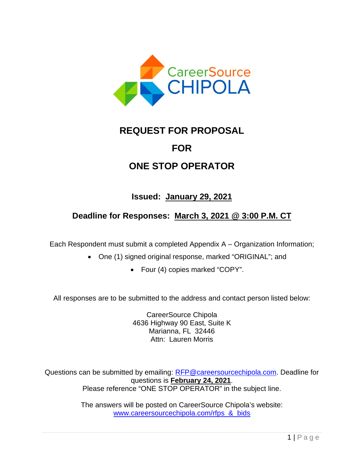

# **REQUEST FOR PROPOSAL**

## **FOR**

## **ONE STOP OPERATOR**

### **Issued: January 29, 2021**

### **Deadline for Responses: March 3, 2021 @ 3:00 P.M. CT**

Each Respondent must submit a completed Appendix A – Organization Information;

- One (1) signed original response, marked "ORIGINAL"; and
	- Four (4) copies marked "COPY".

All responses are to be submitted to the address and contact person listed below:

CareerSource Chipola 4636 Highway 90 East, Suite K Marianna, FL 32446 Attn: Lauren Morris

Questions can be submitted by emailing: [RFP@careersourcechipola.com.](mailto:ITN@careersourcechipola.com) Deadline for questions is **February 24, 2021**. Please reference "ONE STOP OPERATOR" in the subject line.

> The answers will be posted on CareerSource Chipola's website: [www.careersourcechipola.com/rfps\\_&\\_bids](http://www.careersourcechipola.com/rfps_&_bids)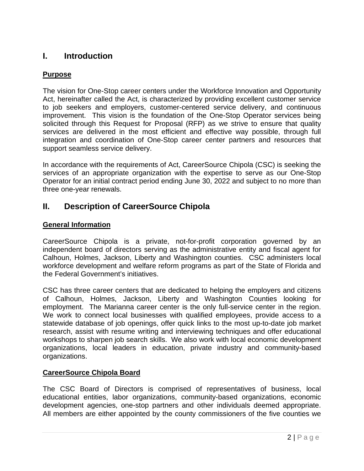### **I. Introduction**

### **Purpose**

The vision for One-Stop career centers under the Workforce Innovation and Opportunity Act, hereinafter called the Act, is characterized by providing excellent customer service to job seekers and employers, customer-centered service delivery, and continuous improvement. This vision is the foundation of the One-Stop Operator services being solicited through this Request for Proposal (RFP) as we strive to ensure that quality services are delivered in the most efficient and effective way possible, through full integration and coordination of One-Stop career center partners and resources that support seamless service delivery.

In accordance with the requirements of Act, CareerSource Chipola (CSC) is seeking the services of an appropriate organization with the expertise to serve as our One-Stop Operator for an initial contract period ending June 30, 2022 and subject to no more than three one-year renewals.

### **II. Description of CareerSource Chipola**

### **General Information**

CareerSource Chipola is a private, not-for-profit corporation governed by an independent board of directors serving as the administrative entity and fiscal agent for Calhoun, Holmes, Jackson, Liberty and Washington counties. CSC administers local workforce development and welfare reform programs as part of the State of Florida and the Federal Government's initiatives.

CSC has three career centers that are dedicated to helping the employers and citizens of Calhoun, Holmes, Jackson, Liberty and Washington Counties looking for employment. The Marianna career center is the only full-service center in the region. We work to connect local businesses with qualified employees, provide access to a statewide database of job openings, offer quick links to the most up-to-date job market research, assist with resume writing and interviewing techniques and offer educational workshops to sharpen job search skills. We also work with local economic development organizations, local leaders in education, private industry and community-based organizations.

### **CareerSource Chipola Board**

The CSC Board of Directors is comprised of representatives of business, local educational entities, labor organizations, community-based organizations, economic development agencies, one-stop partners and other individuals deemed appropriate. All members are either appointed by the county commissioners of the five counties we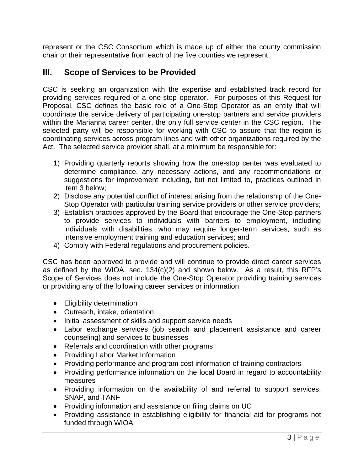represent or the CSC Consortium which is made up of either the county commission chair or their representative from each of the five counties we represent.

### **III. Scope of Services to be Provided**

CSC is seeking an organization with the expertise and established track record for providing services required of a one-stop operator. For purposes of this Request for Proposal, CSC defines the basic role of a One-Stop Operator as an entity that will coordinate the service delivery of participating one-stop partners and service providers within the Marianna career center, the only full service center in the CSC region. The selected party will be responsible for working with CSC to assure that the region is coordinating services across program lines and with other organizations required by the Act. The selected service provider shall, at a minimum be responsible for:

- 1) Providing quarterly reports showing how the one-stop center was evaluated to determine compliance, any necessary actions, and any recommendations or suggestions for improvement including, but not limited to, practices outlined in item 3 below;
- 2) Disclose any potential conflict of interest arising from the relationship of the One-Stop Operator with particular training service providers or other service providers;
- 3) Establish practices approved by the Board that encourage the One-Stop partners to provide services to individuals with barriers to employment, including individuals with disabilities, who may require longer-term services, such as intensive employment training and education services; and
- 4) Comply with Federal regulations and procurement policies.

CSC has been approved to provide and will continue to provide direct career services as defined by the WIOA, sec. 134(c)(2) and shown below. As a result, this RFP's Scope of Services does not include the One-Stop Operator providing training services or providing any of the following career services or information:

- Eligibility determination
- Outreach, intake, orientation
- Initial assessment of skills and support service needs
- Labor exchange services (job search and placement assistance and career counseling) and services to businesses
- Referrals and coordination with other programs
- Providing Labor Market Information
- Providing performance and program cost information of training contractors
- Providing performance information on the local Board in regard to accountability measures
- Providing information on the availability of and referral to support services, SNAP, and TANF
- Providing information and assistance on filing claims on UC
- Providing assistance in establishing eligibility for financial aid for programs not funded through WIOA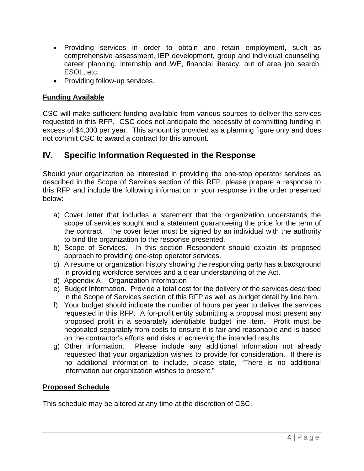- Providing services in order to obtain and retain employment, such as comprehensive assessment, IEP development, group and individual counseling, career planning, internship and WE, financial literacy, out of area job search, ESOL, etc.
- Providing follow-up services.

### **Funding Available**

CSC will make sufficient funding available from various sources to deliver the services requested in this RFP. CSC does not anticipate the necessity of committing funding in excess of \$4,000 per year. This amount is provided as a planning figure only and does not commit CSC to award a contract for this amount.

### **IV. Specific Information Requested in the Response**

Should your organization be interested in providing the one-stop operator services as described in the Scope of Services section of this RFP, please prepare a response to this RFP and include the following information in your response in the order presented below:

- a) Cover letter that includes a statement that the organization understands the scope of services sought and a statement guaranteeing the price for the term of the contract. The cover letter must be signed by an individual with the authority to bind the organization to the response presented.
- b) Scope of Services. In this section Respondent should explain its proposed approach to providing one-stop operator services.
- c) A resume or organization history showing the responding party has a background in providing workforce services and a clear understanding of the Act.
- d) Appendix A Organization Information
- e) Budget Information. Provide a total cost for the delivery of the services described in the Scope of Services section of this RFP as well as budget detail by line item.
- f) Your budget should indicate the number of hours per year to deliver the services requested in this RFP. A for-profit entity submitting a proposal must present any proposed profit in a separately identifiable budget line item. Profit must be negotiated separately from costs to ensure it is fair and reasonable and is based on the contractor's efforts and risks in achieving the intended results.
- g) Other information. Please include any additional information not already requested that your organization wishes to provide for consideration. If there is no additional information to include, please state, "There is no additional information our organization wishes to present."

### **Proposed Schedule**

This schedule may be altered at any time at the discretion of CSC.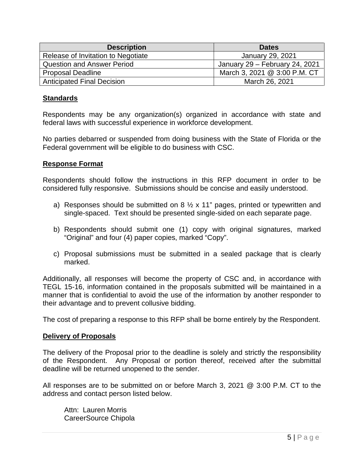| <b>Description</b>                 | <b>Dates</b>                   |
|------------------------------------|--------------------------------|
| Release of Invitation to Negotiate | January 29, 2021               |
| <b>Question and Answer Period</b>  | January 29 - February 24, 2021 |
| <b>Proposal Deadline</b>           | March 3, 2021 @ 3:00 P.M. CT   |
| <b>Anticipated Final Decision</b>  | March 26, 2021                 |

#### **Standards**

Respondents may be any organization(s) organized in accordance with state and federal laws with successful experience in workforce development.

No parties debarred or suspended from doing business with the State of Florida or the Federal government will be eligible to do business with CSC.

#### **Response Format**

Respondents should follow the instructions in this RFP document in order to be considered fully responsive. Submissions should be concise and easily understood.

- a) Responses should be submitted on  $8\frac{1}{2} \times 11$ " pages, printed or typewritten and single-spaced. Text should be presented single-sided on each separate page.
- b) Respondents should submit one (1) copy with original signatures, marked "Original" and four (4) paper copies, marked "Copy".
- c) Proposal submissions must be submitted in a sealed package that is clearly marked.

Additionally, all responses will become the property of CSC and, in accordance with TEGL 15-16, information contained in the proposals submitted will be maintained in a manner that is confidential to avoid the use of the information by another responder to their advantage and to prevent collusive bidding.

The cost of preparing a response to this RFP shall be borne entirely by the Respondent.

#### **Delivery of Proposals**

The delivery of the Proposal prior to the deadline is solely and strictly the responsibility of the Respondent. Any Proposal or portion thereof, received after the submittal deadline will be returned unopened to the sender.

All responses are to be submitted on or before March 3, 2021 @ 3:00 P.M. CT to the address and contact person listed below.

Attn: Lauren Morris CareerSource Chipola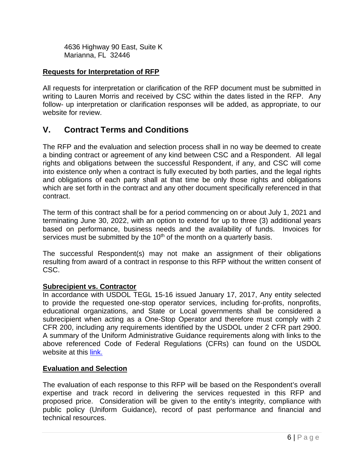4636 Highway 90 East, Suite K Marianna, FL 32446

#### **Requests for Interpretation of RFP**

All requests for interpretation or clarification of the RFP document must be submitted in writing to Lauren Morris and received by CSC within the dates listed in the RFP. Any follow- up interpretation or clarification responses will be added, as appropriate, to our website for review.

### **V. Contract Terms and Conditions**

The RFP and the evaluation and selection process shall in no way be deemed to create a binding contract or agreement of any kind between CSC and a Respondent. All legal rights and obligations between the successful Respondent, if any, and CSC will come into existence only when a contract is fully executed by both parties, and the legal rights and obligations of each party shall at that time be only those rights and obligations which are set forth in the contract and any other document specifically referenced in that contract.

The term of this contract shall be for a period commencing on or about July 1, 2021 and terminating June 30, 2022, with an option to extend for up to three (3) additional years based on performance, business needs and the availability of funds. Invoices for services must be submitted by the  $10<sup>th</sup>$  of the month on a quarterly basis.

The successful Respondent(s) may not make an assignment of their obligations resulting from award of a contract in response to this RFP without the written consent of CSC.

#### **Subrecipient vs. Contractor**

In accordance with USDOL TEGL 15-16 issued January 17, 2017, Any entity selected to provide the requested one-stop operator services, including for-profits, nonprofits, educational organizations, and State or Local governments shall be considered a subrecipient when acting as a One-Stop Operator and therefore must comply with 2 CFR 200, including any requirements identified by the USDOL under 2 CFR part 2900. A summary of the Uniform Administrative Guidance requirements along with links to the above referenced Code of Federal Regulations (CFRs) can found on the USDOL website at this [link.](https://www.dol.gov/dol/cfr/Title_41/Chapter_60.htm) 

#### **Evaluation and Selection**

The evaluation of each response to this RFP will be based on the Respondent's overall expertise and track record in delivering the services requested in this RFP and proposed price. Consideration will be given to the entity's integrity, compliance with public policy (Uniform Guidance), record of past performance and financial and technical resources.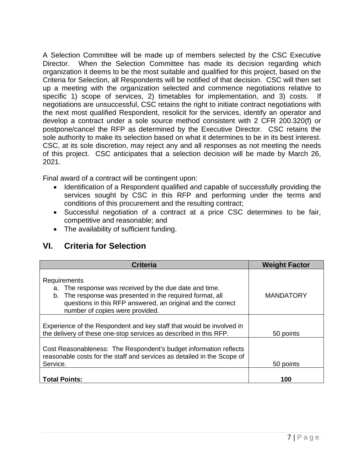A Selection Committee will be made up of members selected by the CSC Executive Director. When the Selection Committee has made its decision regarding which organization it deems to be the most suitable and qualified for this project, based on the Criteria for Selection, all Respondents will be notified of that decision. CSC will then set up a meeting with the organization selected and commence negotiations relative to specific 1) scope of services, 2) timetables for implementation, and 3) costs. If negotiations are unsuccessful, CSC retains the right to initiate contract negotiations with the next most qualified Respondent, resolicit for the services, identify an operator and develop a contract under a sole source method consistent with 2 CFR 200.320(f) or postpone/cancel the RFP as determined by the Executive Director. CSC retains the sole authority to make its selection based on what it determines to be in its best interest. CSC, at its sole discretion, may reject any and all responses as not meeting the needs of this project. CSC anticipates that a selection decision will be made by March 26, 2021.

Final award of a contract will be contingent upon:

- Identification of a Respondent qualified and capable of successfully providing the services sought by CSC in this RFP and performing under the terms and conditions of this procurement and the resulting contract;
- Successful negotiation of a contract at a price CSC determines to be fair, competitive and reasonable; and
- The availability of sufficient funding.

| <b>Criteria</b>                                                                                                                                                                                                                          | <b>Weight Factor</b> |
|------------------------------------------------------------------------------------------------------------------------------------------------------------------------------------------------------------------------------------------|----------------------|
| Requirements<br>a. The response was received by the due date and time.<br>The response was presented in the required format, all<br>b.<br>questions in this RFP answered, an original and the correct<br>number of copies were provided. | <b>MANDATORY</b>     |
| Experience of the Respondent and key staff that would be involved in<br>the delivery of these one-stop services as described in this RFP.                                                                                                | 50 points            |
| Cost Reasonableness: The Respondent's budget information reflects<br>reasonable costs for the staff and services as detailed in the Scope of<br>Service.                                                                                 | 50 points            |
| <b>Total Points:</b>                                                                                                                                                                                                                     | 100                  |

### **VI. Criteria for Selection**